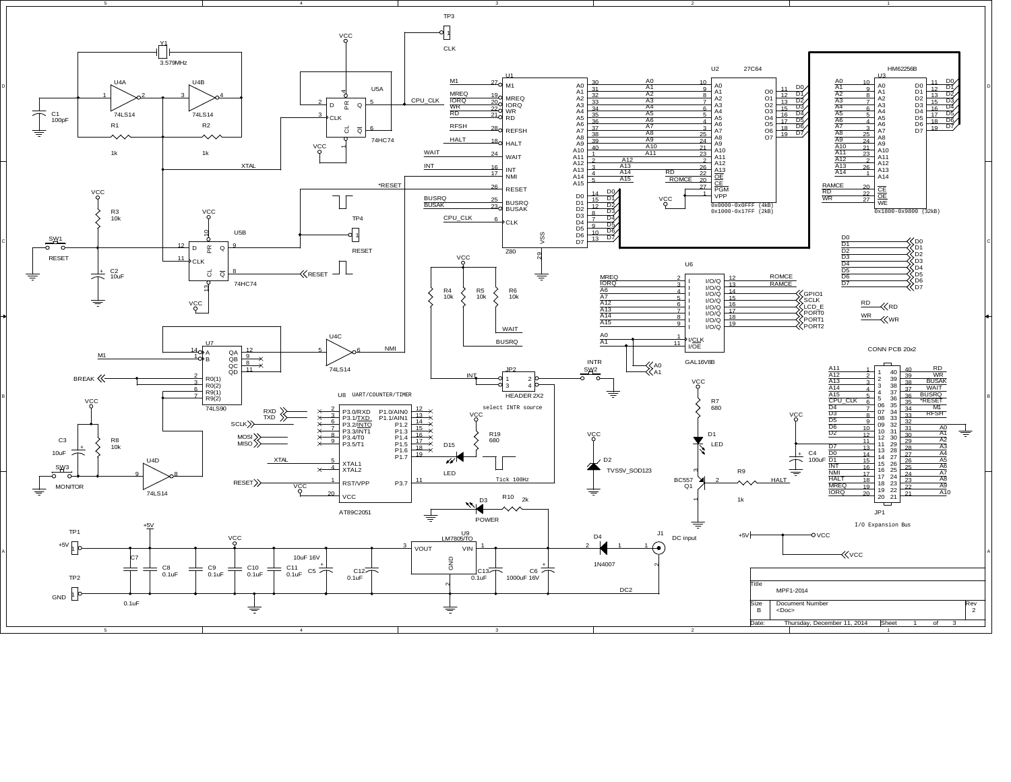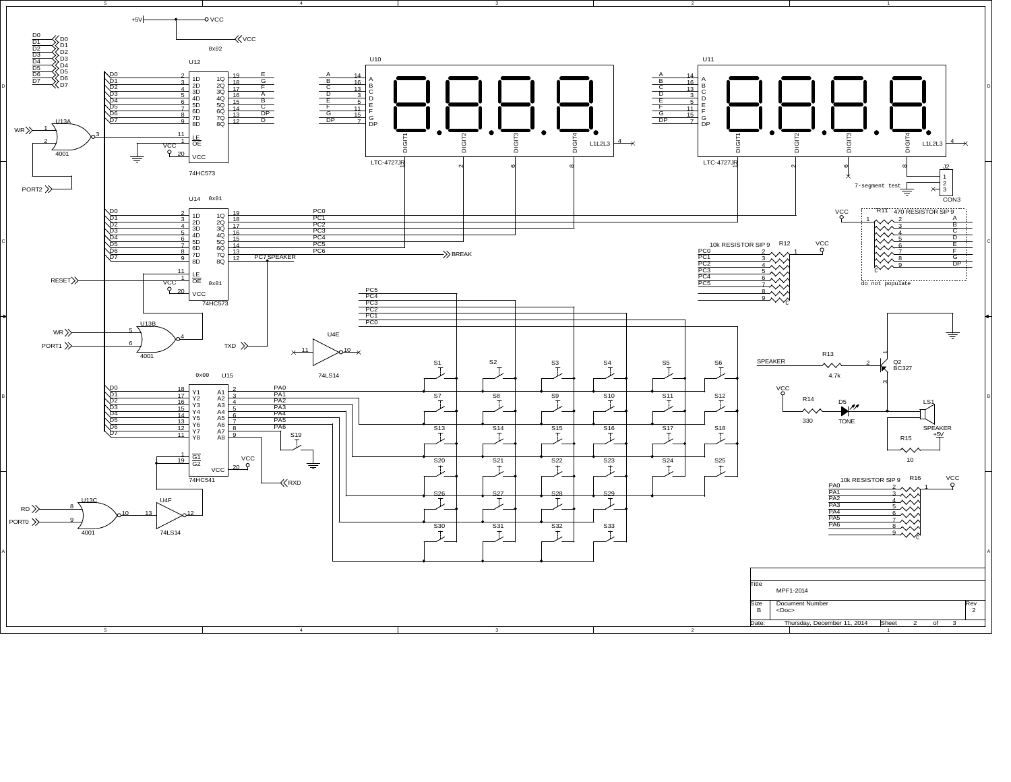